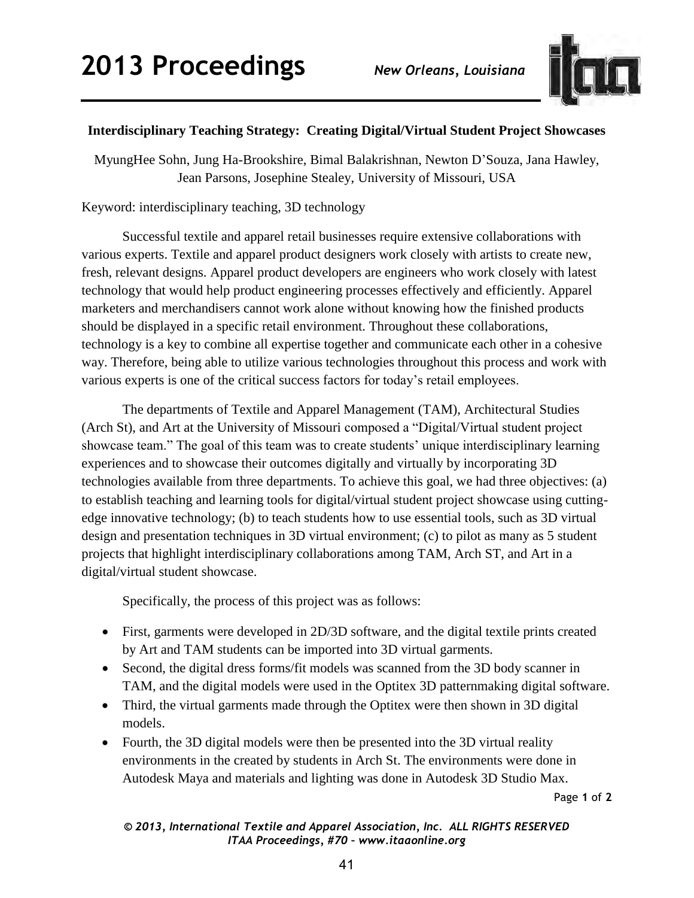

## **Interdisciplinary Teaching Strategy: Creating Digital/Virtual Student Project Showcases**

MyungHee Sohn, Jung Ha-Brookshire, Bimal Balakrishnan, Newton D'Souza, Jana Hawley, Jean Parsons, Josephine Stealey, University of Missouri, USA

Keyword: interdisciplinary teaching, 3D technology

Successful textile and apparel retail businesses require extensive collaborations with various experts. Textile and apparel product designers work closely with artists to create new, fresh, relevant designs. Apparel product developers are engineers who work closely with latest technology that would help product engineering processes effectively and efficiently. Apparel marketers and merchandisers cannot work alone without knowing how the finished products should be displayed in a specific retail environment. Throughout these collaborations, technology is a key to combine all expertise together and communicate each other in a cohesive way. Therefore, being able to utilize various technologies throughout this process and work with various experts is one of the critical success factors for today's retail employees.

The departments of Textile and Apparel Management (TAM), Architectural Studies (Arch St), and Art at the University of Missouri composed a "Digital/Virtual student project showcase team." The goal of this team was to create students' unique interdisciplinary learning experiences and to showcase their outcomes digitally and virtually by incorporating 3D technologies available from three departments. To achieve this goal, we had three objectives: (a) to establish teaching and learning tools for digital/virtual student project showcase using cuttingedge innovative technology; (b) to teach students how to use essential tools, such as 3D virtual design and presentation techniques in 3D virtual environment; (c) to pilot as many as 5 student projects that highlight interdisciplinary collaborations among TAM, Arch ST, and Art in a digital/virtual student showcase.

Specifically, the process of this project was as follows:

- First, garments were developed in 2D/3D software, and the digital textile prints created by Art and TAM students can be imported into 3D virtual garments.
- Second, the digital dress forms/fit models was scanned from the 3D body scanner in TAM, and the digital models were used in the Optitex 3D patternmaking digital software.
- Third, the virtual garments made through the Optitex were then shown in 3D digital models.
- Fourth, the 3D digital models were then be presented into the 3D virtual reality environments in the created by students in Arch St. The environments were done in Autodesk Maya and materials and lighting was done in Autodesk 3D Studio Max.

Page **1** of **2** 

## *© 2013, International Textile and Apparel Association, Inc. ALL RIGHTS RESERVED ITAA Proceedings, #70 – www.itaaonline.org*